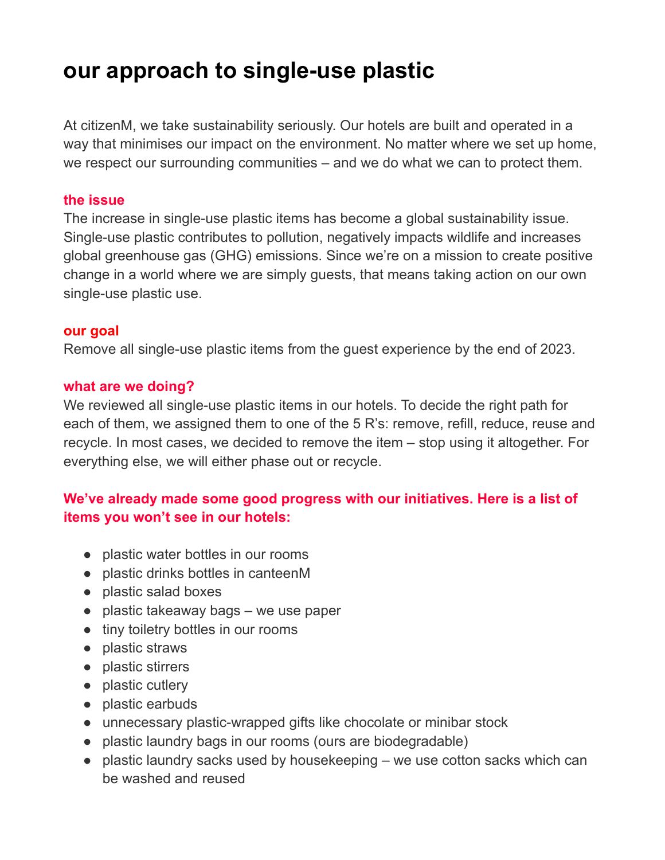# **our approach to single-use plastic**

At citizenM, we take sustainability seriously. Our hotels are built and operated in a way that minimises our impact on the environment. No matter where we set up home, we respect our surrounding communities – and we do what we can to protect them.

#### **the issue**

The increase in single-use plastic items has become a global sustainability issue. Single-use plastic contributes to pollution, negatively impacts wildlife and increases global greenhouse gas (GHG) emissions. Since we're on a mission to create positive change in a world where we are simply guests, that means taking action on our own single-use plastic use.

#### **our goal**

Remove all single-use plastic items from the guest experience by the end of 2023.

#### **what are we doing?**

We reviewed all single-use plastic items in our hotels. To decide the right path for each of them, we assigned them to one of the 5 R's: remove, refill, reduce, reuse and recycle. In most cases, we decided to remove the item – stop using it altogether. For everything else, we will either phase out or recycle.

## **We've already made some good progress with our initiatives. Here is a list of items you won't see in our hotels:**

- plastic water bottles in our rooms
- plastic drinks bottles in canteenM
- plastic salad boxes
- plastic takeaway bags we use paper
- tiny toiletry bottles in our rooms
- plastic straws
- plastic stirrers
- plastic cutlery
- plastic earbuds
- unnecessary plastic-wrapped gifts like chocolate or minibar stock
- plastic laundry bags in our rooms (ours are biodegradable)
- plastic laundry sacks used by housekeeping we use cotton sacks which can be washed and reused